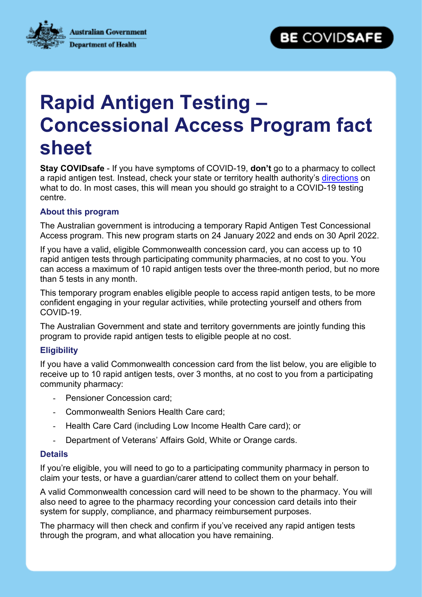**Australian Government Department of Health** 



# **Rapid Antigen Testing – Concessional Access Program fact sheet**

**Stay COVIDsafe** - If you have symptoms of COVID-19, **don't** go to a pharmacy to collect a rapid antigen test. Instead, check your state or territory health authority's [directions](https://www.health.gov.au/health-alerts/covid-19/testing) on what to do. In most cases, this will mean you should go straight to a COVID-19 testing centre.

### **About this program**

The Australian government is introducing a temporary Rapid Antigen Test Concessional Access program. This new program starts on 24 January 2022 and ends on 30 April 2022.

If you have a valid, eligible Commonwealth concession card, you can access up to 10 rapid antigen tests through participating community pharmacies, at no cost to you. You can access a maximum of 10 rapid antigen tests over the three-month period, but no more than 5 tests in any month.

This temporary program enables eligible people to access rapid antigen tests, to be more confident engaging in your regular activities, while protecting yourself and others from COVID-19.

The Australian Government and state and territory governments are jointly funding this program to provide rapid antigen tests to eligible people at no cost.

### **Eligibility**

If you have a valid Commonwealth concession card from the list below, you are eligible to receive up to 10 rapid antigen tests, over 3 months, at no cost to you from a participating community pharmacy:

- Pensioner Concession card;
- Commonwealth Seniors Health Care card;
- Health Care Card (including Low Income Health Care card); or
- Department of Veterans' Affairs Gold, White or Orange cards.

#### **Details**

If you're eligible, you will need to go to a participating community pharmacy in person to claim your tests, or have a guardian/carer attend to collect them on your behalf.

A valid Commonwealth concession card will need to be shown to the pharmacy. You will also need to agree to the pharmacy recording your concession card details into their system for supply, compliance, and pharmacy reimbursement purposes.

The pharmacy will then check and confirm if you've received any rapid antigen tests through the program, and what allocation you have remaining.